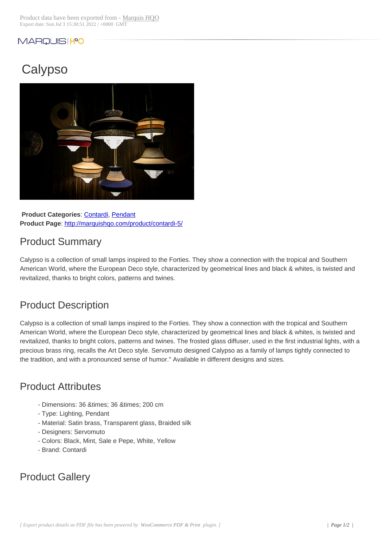#### MARQUISIHO

# **Calypso**



**Product Categories: Contardi, Pendant Product Page**: http://marquishqo.com/product/contardi-5/

### Product Sum[mary](http://marquishqo.com/product-category/brands/brands-a-to-g/brands-a-to-g-contardi/)

Calypso is a co[llection of small lamps inspired to the Fortie](http://marquishqo.com/product/contardi-5/)s. They show a connection with the tropical and Southern American World, where the European Deco style, characterized by geometrical lines and black & whites, is twisted and revitalized, thanks to bright colors, patterns and twines.

#### Product Description

Calypso is a collection of small lamps inspired to the Forties. They show a connection with the tropical and Southern American World, where the European Deco style, characterized by geometrical lines and black & whites, is twisted and revitalized, thanks to bright colors, patterns and twines. The frosted glass diffuser, used in the first industrial lights, with a precious brass ring, recalls the Art Deco style. Servomuto designed Calypso as a family of lamps tightly connected to the tradition, and with a pronounced sense of humor." Available in different designs and sizes.

#### Product Attributes

- Dimensions: 36 & times; 36 & times; 200 cm
- Type: Lighting, Pendant
- Material: Satin brass, Transparent glass, Braided silk
- Designers: Servomuto
- Colors: Black, Mint, Sale e Pepe, White, Yellow
- Brand: Contardi

## Product Gallery